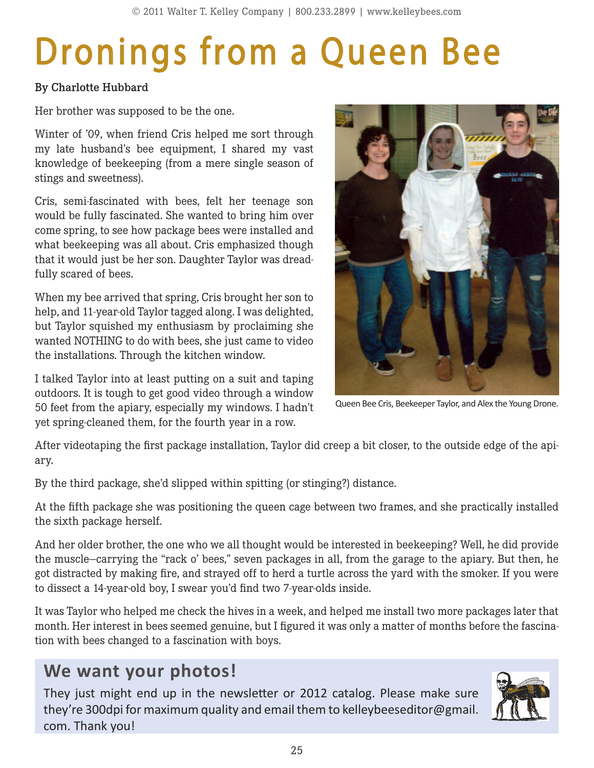## **Dronings from a Queen Bee**

## By Charlotte Hubbard

Her brother was supposed to be the one.

Winter of '09, when friend Cris helped me sort through my late husband's bee equipment, I shared my vast knowledge of beekeeping (from a mere single season of stings and sweetness).

Cris, semi-fascinated with bees, felt her teenage son would be fully fascinated. She wanted to bring him over come spring, to see how package bees were installed and what beekeeping was all about. Cris emphasized though that it would just be her son. Daughter Taylor was dreadfully scared of bees.

When my bee arrived that spring, Cris brought her son to help, and 11-year-old Taylor tagged along. I was delighted, but Taylor squished my enthusiasm by proclaiming she wanted NOTHING to do with bees, she just came to video the installations. Through the kitchen window.

I talked Taylor into at least putting on a suit and taping outdoors. It is tough to get good video through a window 50 feet from the apiary, especially my windows. I hadn't yet spring-cleaned them, for the fourth year in a row.



Queen Bee Cris, Beekeeper Taylor, and Alex the Young Drone.

After videotaping the first package installation, Taylor did creep a bit closer, to the outside edge of the apiary.

By the third package, she'd slipped within spitting (or stinging?) distance.

At the fifth package she was positioning the queen cage between two frames, and she practically installed the sixth package herself.

And her older brother, the one who we all thought would be interested in beekeeping? Well, he did provide the muscle—carrying the "rack o' bees," seven packages in all, from the garage to the apiary. But then, he got distracted by making fire, and strayed off to herd a turtle across the yard with the smoker. If you were to dissect a 14-year-old boy, I swear you'd find two 7-year-olds inside.

It was Taylor who helped me check the hives in a week, and helped me install two more packages later that month. Her interest in bees seemed genuine, but I figured it was only a matter of months before the fascination with bees changed to a fascination with boys.

## **We want your photos!**

They just might end up in the newsletter or 2012 catalog. Please make sure they're 300dpi for maximum quality and email them to kelleybeeseditor@gmail. com. Thank you!